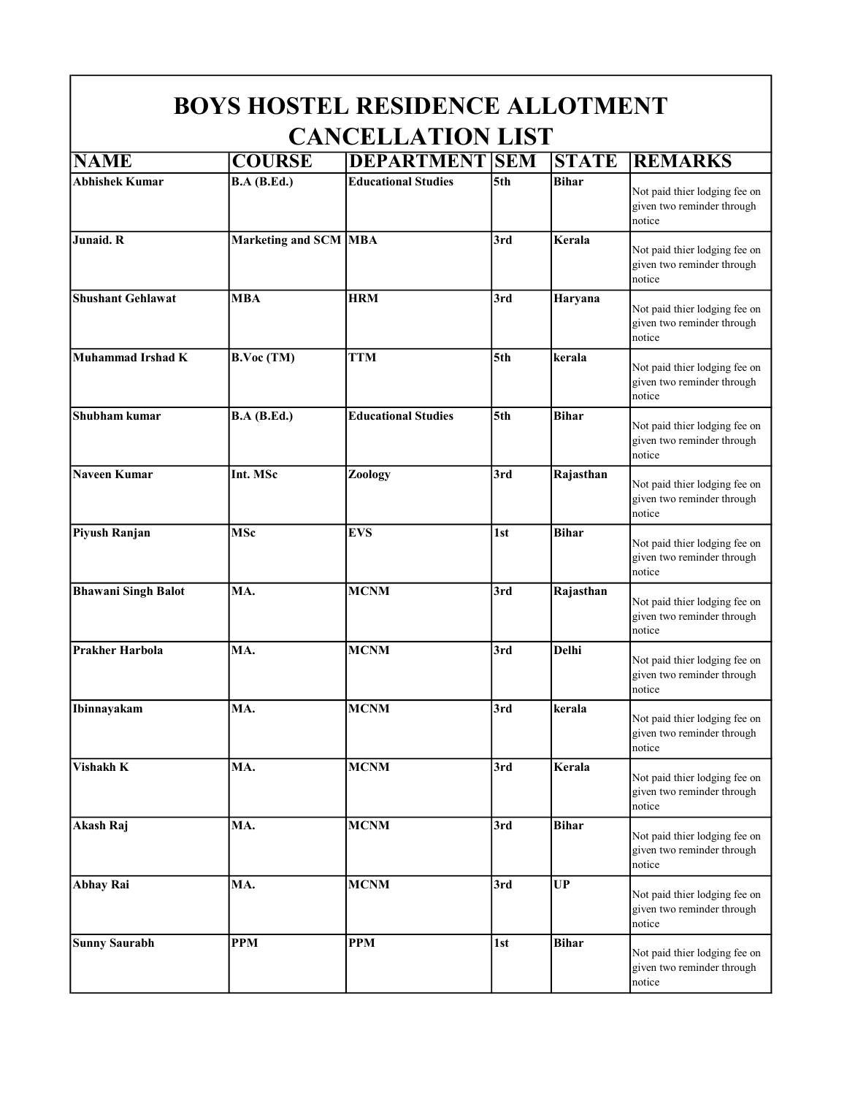| <b>BOYS HOSTEL RESIDENCE ALLOTMENT</b><br><b>CANCELLATION LIST</b> |                             |                            |     |              |                                                                       |  |
|--------------------------------------------------------------------|-----------------------------|----------------------------|-----|--------------|-----------------------------------------------------------------------|--|
|                                                                    |                             |                            |     |              |                                                                       |  |
| <b>Abhishek Kumar</b>                                              | <b>B.A</b> ( <b>B.Ed.</b> ) | <b>Educational Studies</b> | 5th | <b>Bihar</b> | Not paid thier lodging fee on<br>given two reminder through<br>notice |  |
| Junaid. R                                                          | Marketing and SCM MBA       |                            | 3rd | Kerala       | Not paid thier lodging fee on<br>given two reminder through<br>notice |  |
| <b>Shushant Gehlawat</b>                                           | <b>MBA</b>                  | <b>HRM</b>                 | 3rd | Haryana      | Not paid thier lodging fee on<br>given two reminder through<br>notice |  |
| <b>Muhammad Irshad K</b>                                           | <b>B.Voc (TM)</b>           | <b>TTM</b>                 | 5th | kerala       | Not paid thier lodging fee on<br>given two reminder through<br>notice |  |
| Shubham kumar                                                      | <b>B.A</b> ( <b>B.Ed.</b> ) | <b>Educational Studies</b> | 5th | <b>Bihar</b> | Not paid thier lodging fee on<br>given two reminder through<br>notice |  |
| <b>Naveen Kumar</b>                                                | Int. MSc                    | Zoology                    | 3rd | Rajasthan    | Not paid thier lodging fee on<br>given two reminder through<br>notice |  |
| Piyush Ranjan                                                      | <b>MSc</b>                  | <b>EVS</b>                 | 1st | <b>Bihar</b> | Not paid thier lodging fee on<br>given two reminder through<br>notice |  |
| <b>Bhawani Singh Balot</b>                                         | MA.                         | <b>MCNM</b>                | 3rd | Rajasthan    | Not paid thier lodging fee on<br>given two reminder through<br>notice |  |
| <b>Prakher Harbola</b>                                             | MA.                         | <b>MCNM</b>                | 3rd | <b>Delhi</b> | Not paid thier lodging fee on<br>given two reminder through<br>notice |  |
| Ibinnayakam                                                        | MA.                         | <b>MCNM</b>                | 3rd | kerala       | Not paid thier lodging fee on<br>given two reminder through<br>notice |  |
| Vishakh K                                                          | MA.                         | <b>MCNM</b>                | 3rd | Kerala       | Not paid thier lodging fee on<br>given two reminder through<br>notice |  |
| Akash Raj                                                          | MA.                         | <b>MCNM</b>                | 3rd | <b>Bihar</b> | Not paid thier lodging fee on<br>given two reminder through<br>notice |  |
| <b>Abhay Rai</b>                                                   | MA.                         | <b>MCNM</b>                | 3rd | UP           | Not paid thier lodging fee on<br>given two reminder through<br>notice |  |
| <b>Sunny Saurabh</b>                                               | <b>PPM</b>                  | <b>PPM</b>                 | 1st | <b>Bihar</b> | Not paid thier lodging fee on<br>given two reminder through<br>notice |  |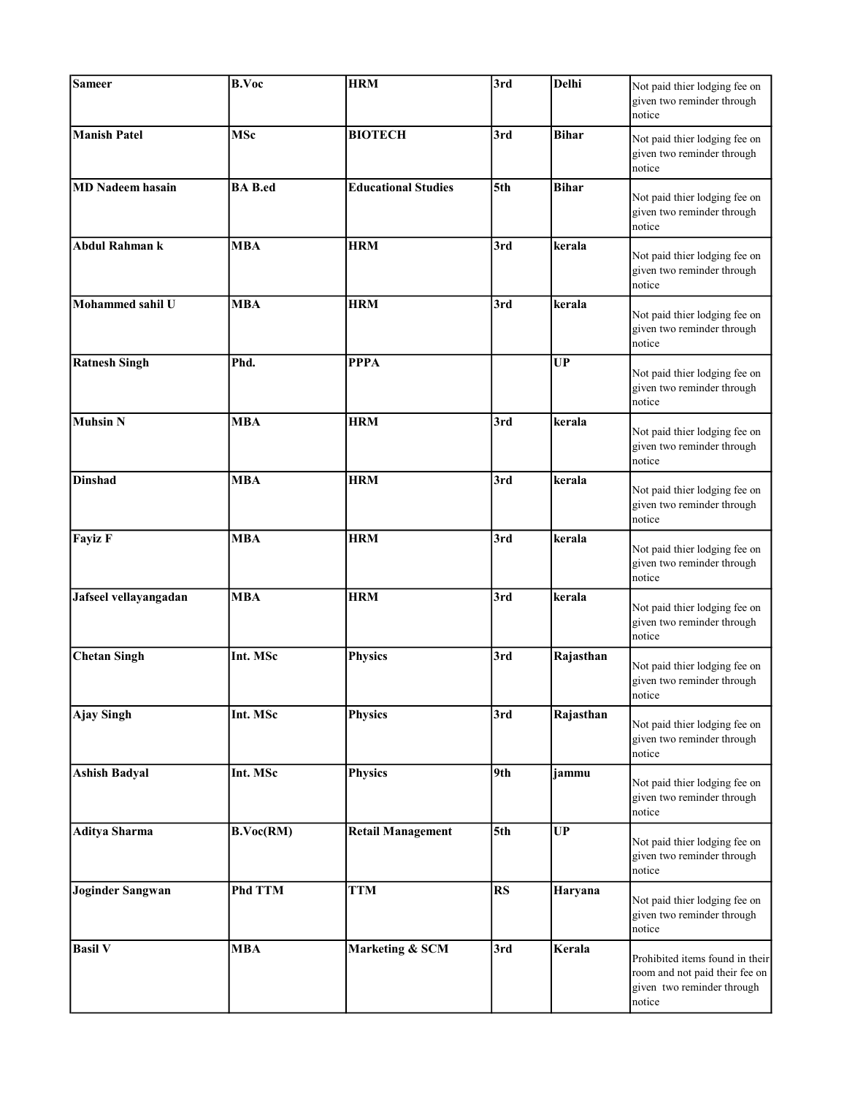| <b>Sameer</b>           | <b>B.Voc</b>   | <b>HRM</b>                 | 3rd | Delhi        | Not paid thier lodging fee on<br>given two reminder through<br>notice                                     |
|-------------------------|----------------|----------------------------|-----|--------------|-----------------------------------------------------------------------------------------------------------|
| <b>Manish Patel</b>     | <b>MSc</b>     | <b>BIOTECH</b>             | 3rd | <b>Bihar</b> | Not paid thier lodging fee on<br>given two reminder through<br>notice                                     |
| <b>MD</b> Nadeem hasain | <b>BA</b> B.ed | <b>Educational Studies</b> | 5th | <b>Bihar</b> | Not paid thier lodging fee on<br>given two reminder through<br>notice                                     |
| <b>Abdul Rahman k</b>   | <b>MBA</b>     | <b>HRM</b>                 | 3rd | kerala       | Not paid thier lodging fee on<br>given two reminder through<br>notice                                     |
| Mohammed sahil U        | <b>MBA</b>     | <b>HRM</b>                 | 3rd | kerala       | Not paid thier lodging fee on<br>given two reminder through<br>notice                                     |
| <b>Ratnesh Singh</b>    | Phd.           | <b>PPPA</b>                |     | UP           | Not paid thier lodging fee on<br>given two reminder through<br>notice                                     |
| <b>Muhsin N</b>         | <b>MBA</b>     | <b>HRM</b>                 | 3rd | kerala       | Not paid thier lodging fee on<br>given two reminder through<br>notice                                     |
| <b>Dinshad</b>          | <b>MBA</b>     | <b>HRM</b>                 | 3rd | kerala       | Not paid thier lodging fee on<br>given two reminder through<br>notice                                     |
| <b>Fayiz F</b>          | <b>MBA</b>     | <b>HRM</b>                 | 3rd | kerala       | Not paid thier lodging fee on<br>given two reminder through<br>notice                                     |
| Jafseel vellayangadan   | <b>MBA</b>     | <b>HRM</b>                 | 3rd | kerala       | Not paid thier lodging fee on<br>given two reminder through<br>notice                                     |
| <b>Chetan Singh</b>     | Int. MSc       | <b>Physics</b>             | 3rd | Rajasthan    | Not paid thier lodging fee on<br>given two reminder through<br>notice                                     |
| <b>Ajay Singh</b>       | Int. MSc       | <b>Physics</b>             | 3rd | Rajasthan    | Not paid thier lodging fee on<br>given two reminder through<br>notice                                     |
| <b>Ashish Badyal</b>    | Int. MSc       | <b>Physics</b>             | 9th | jammu        | Not paid thier lodging fee on<br>given two reminder through<br>notice                                     |
| <b>Aditya Sharma</b>    | B.Voc(RM)      | <b>Retail Management</b>   | 5th | <b>UP</b>    | Not paid thier lodging fee on<br>given two reminder through<br>notice                                     |
| <b>Joginder Sangwan</b> | <b>Phd TTM</b> | <b>TTM</b>                 | RS  | Haryana      | Not paid thier lodging fee on<br>given two reminder through<br>notice                                     |
| <b>Basil V</b>          | <b>MBA</b>     | Marketing & SCM            | 3rd | Kerala       | Prohibited items found in their<br>room and not paid their fee on<br>given two reminder through<br>notice |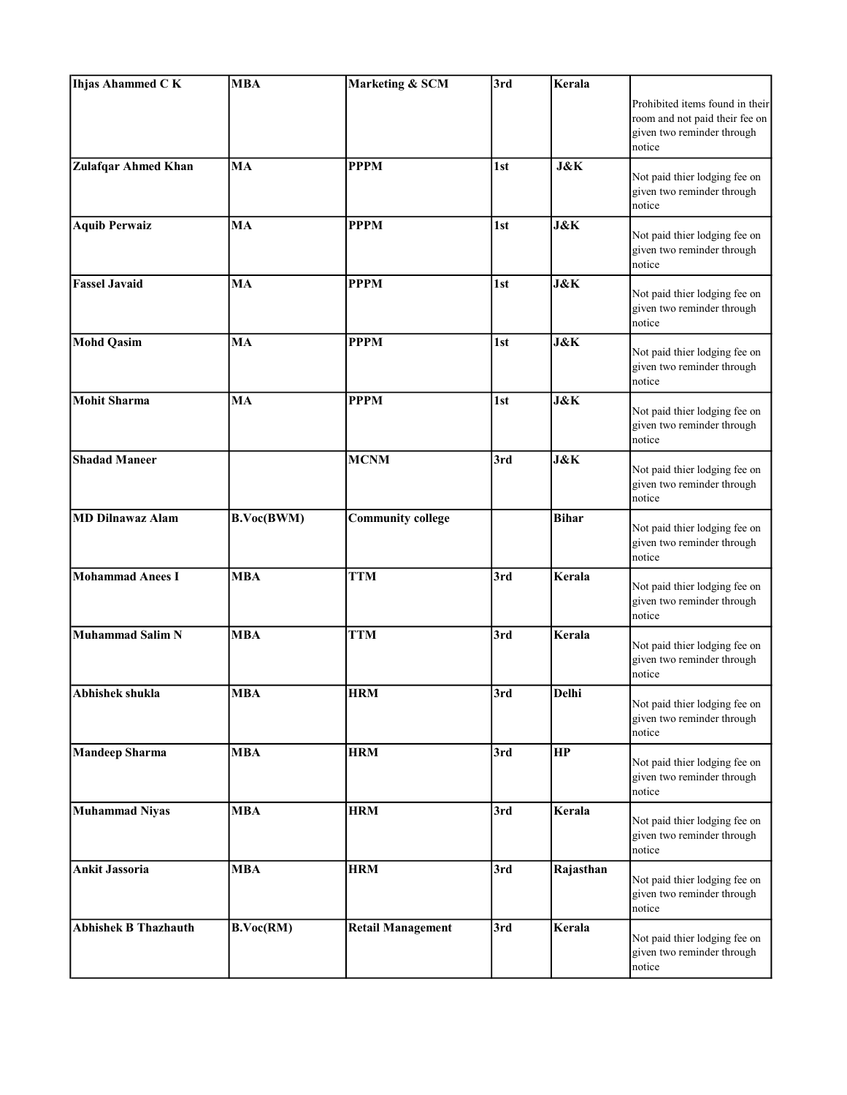| <b>Ihjas Ahammed CK</b>     | <b>MBA</b> | Marketing & SCM          | 3rd | Kerala         |                                                                                                           |
|-----------------------------|------------|--------------------------|-----|----------------|-----------------------------------------------------------------------------------------------------------|
|                             |            |                          |     |                | Prohibited items found in their<br>room and not paid their fee on<br>given two reminder through<br>notice |
| <b>Zulafqar Ahmed Khan</b>  | MA         | <b>PPPM</b>              | 1st | <b>J&amp;K</b> | Not paid thier lodging fee on<br>given two reminder through<br>notice                                     |
| <b>Aquib Perwaiz</b>        | MA         | <b>PPPM</b>              | 1st | <b>J&amp;K</b> | Not paid thier lodging fee on<br>given two reminder through<br>notice                                     |
| <b>Fassel Javaid</b>        | MA         | <b>PPPM</b>              | 1st | J&K            | Not paid thier lodging fee on<br>given two reminder through<br>notice                                     |
| <b>Mohd Qasim</b>           | MA         | <b>PPPM</b>              | 1st | <b>J&amp;K</b> | Not paid thier lodging fee on<br>given two reminder through<br>notice                                     |
| <b>Mohit Sharma</b>         | MA         | <b>PPPM</b>              | 1st | <b>J&amp;K</b> | Not paid thier lodging fee on<br>given two reminder through<br>notice                                     |
| <b>Shadad Maneer</b>        |            | <b>MCNM</b>              | 3rd | <b>J&amp;K</b> | Not paid thier lodging fee on<br>given two reminder through<br>notice                                     |
| <b>MD Dilnawaz Alam</b>     | B.Voc(BWM) | <b>Community college</b> |     | <b>Bihar</b>   | Not paid thier lodging fee on<br>given two reminder through<br>notice                                     |
| <b>Mohammad Anees I</b>     | <b>MBA</b> | <b>TTM</b>               | 3rd | Kerala         | Not paid thier lodging fee on<br>given two reminder through<br>notice                                     |
| Muhammad Salim N            | <b>MBA</b> | <b>TTM</b>               | 3rd | Kerala         | Not paid thier lodging fee on<br>given two reminder through<br>notice                                     |
| Abhishek shukla             | <b>MBA</b> | <b>HRM</b>               | 3rd | Delhi          | Not paid thier lodging fee on<br>given two reminder through<br>notice                                     |
| <b>Mandeep Sharma</b>       | <b>MBA</b> | <b>HRM</b>               | 3rd | HP             | Not paid thier lodging fee on<br>given two reminder through<br>notice                                     |
| <b>Muhammad Niyas</b>       | <b>MBA</b> | <b>HRM</b>               | 3rd | Kerala         | Not paid thier lodging fee on<br>given two reminder through<br>notice                                     |
| <b>Ankit Jassoria</b>       | <b>MBA</b> | <b>HRM</b>               | 3rd | Rajasthan      | Not paid thier lodging fee on<br>given two reminder through<br>notice                                     |
| <b>Abhishek B Thazhauth</b> | B.Voc(RM)  | <b>Retail Management</b> | 3rd | Kerala         | Not paid thier lodging fee on<br>given two reminder through<br>notice                                     |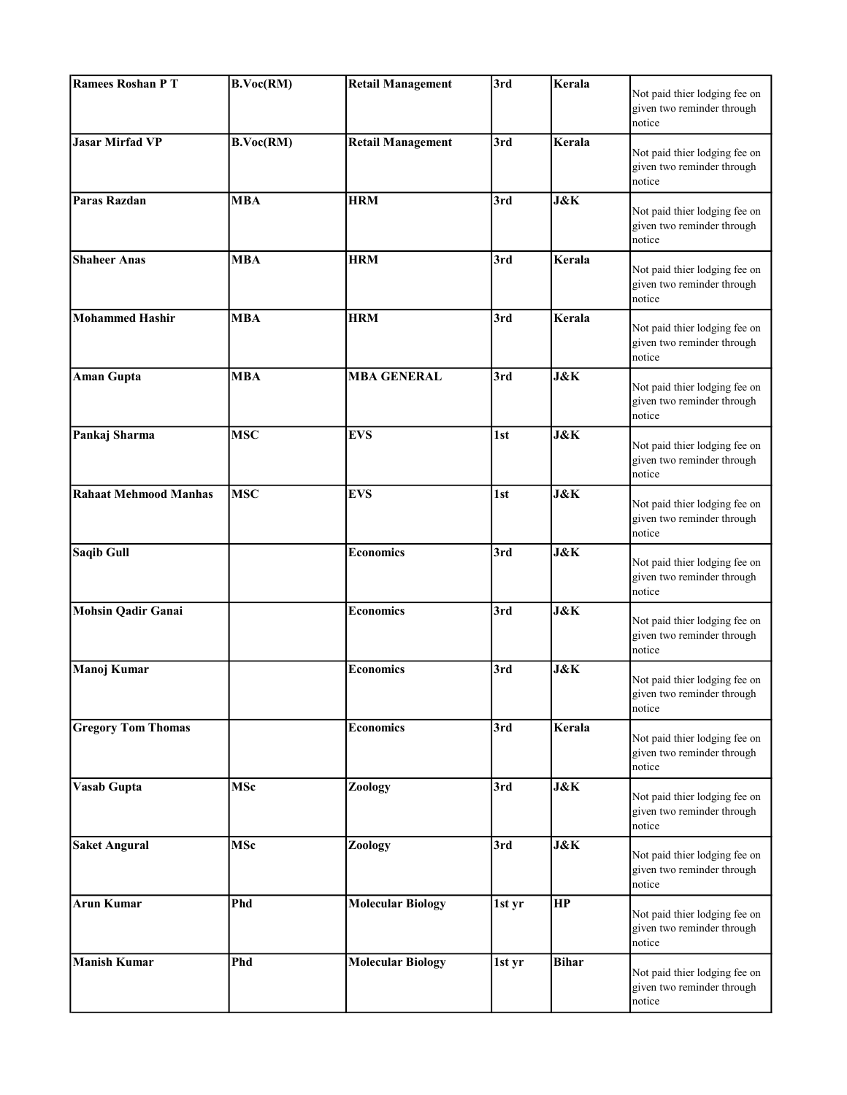| <b>Ramees Roshan PT</b>      | B.Voc(RM)            | <b>Retail Management</b> | 3rd    | Kerala         | Not paid thier lodging fee on<br>given two reminder through<br>notice |
|------------------------------|----------------------|--------------------------|--------|----------------|-----------------------------------------------------------------------|
| <b>Jasar Mirfad VP</b>       | B.Voc(RM)            | <b>Retail Management</b> | 3rd    | Kerala         | Not paid thier lodging fee on<br>given two reminder through<br>notice |
| Paras Razdan                 | <b>MBA</b>           | <b>HRM</b>               | 3rd    | <b>J&amp;K</b> | Not paid thier lodging fee on<br>given two reminder through<br>notice |
| <b>Shaheer Anas</b>          | <b>MBA</b>           | <b>HRM</b>               | 3rd    | Kerala         | Not paid thier lodging fee on<br>given two reminder through<br>notice |
| <b>Mohammed Hashir</b>       | $\overline{\bf MBA}$ | <b>HRM</b>               | 3rd    | Kerala         | Not paid thier lodging fee on<br>given two reminder through<br>notice |
| <b>Aman Gupta</b>            | <b>MBA</b>           | <b>MBA GENERAL</b>       | 3rd    | <b>J&amp;K</b> | Not paid thier lodging fee on<br>given two reminder through<br>notice |
| Pankaj Sharma                | <b>MSC</b>           | <b>EVS</b>               | 1st    | <b>J&amp;K</b> | Not paid thier lodging fee on<br>given two reminder through<br>notice |
| <b>Rahaat Mehmood Manhas</b> | <b>MSC</b>           | <b>EVS</b>               | 1st    | <b>J&amp;K</b> | Not paid thier lodging fee on<br>given two reminder through<br>notice |
| <b>Saqib Gull</b>            |                      | <b>Economics</b>         | 3rd    | J&K            | Not paid thier lodging fee on<br>given two reminder through<br>notice |
| <b>Mohsin Qadir Ganai</b>    |                      | <b>Economics</b>         | 3rd    | <b>J&amp;K</b> | Not paid thier lodging fee on<br>given two reminder through<br>notice |
| Manoj Kumar                  |                      | <b>Economics</b>         | 3rd    | <b>J&amp;K</b> | Not paid thier lodging fee on<br>given two reminder through<br>notice |
| <b>Gregory Tom Thomas</b>    |                      | <b>Economics</b>         | 3rd    | Kerala         | Not paid thier lodging fee on<br>given two reminder through<br>notice |
| <b>Vasab Gupta</b>           | <b>MSc</b>           | Zoology                  | 3rd    | <b>J&amp;K</b> | Not paid thier lodging fee on<br>given two reminder through<br>notice |
| <b>Saket Angural</b>         | <b>MSc</b>           | <b>Zoology</b>           | 3rd    | <b>J&amp;K</b> | Not paid thier lodging fee on<br>given two reminder through<br>notice |
| <b>Arun Kumar</b>            | Phd                  | <b>Molecular Biology</b> | 1st yr | HP             | Not paid thier lodging fee on<br>given two reminder through<br>notice |
| <b>Manish Kumar</b>          | Phd                  | <b>Molecular Biology</b> | 1st yr | <b>Bihar</b>   | Not paid thier lodging fee on<br>given two reminder through<br>notice |